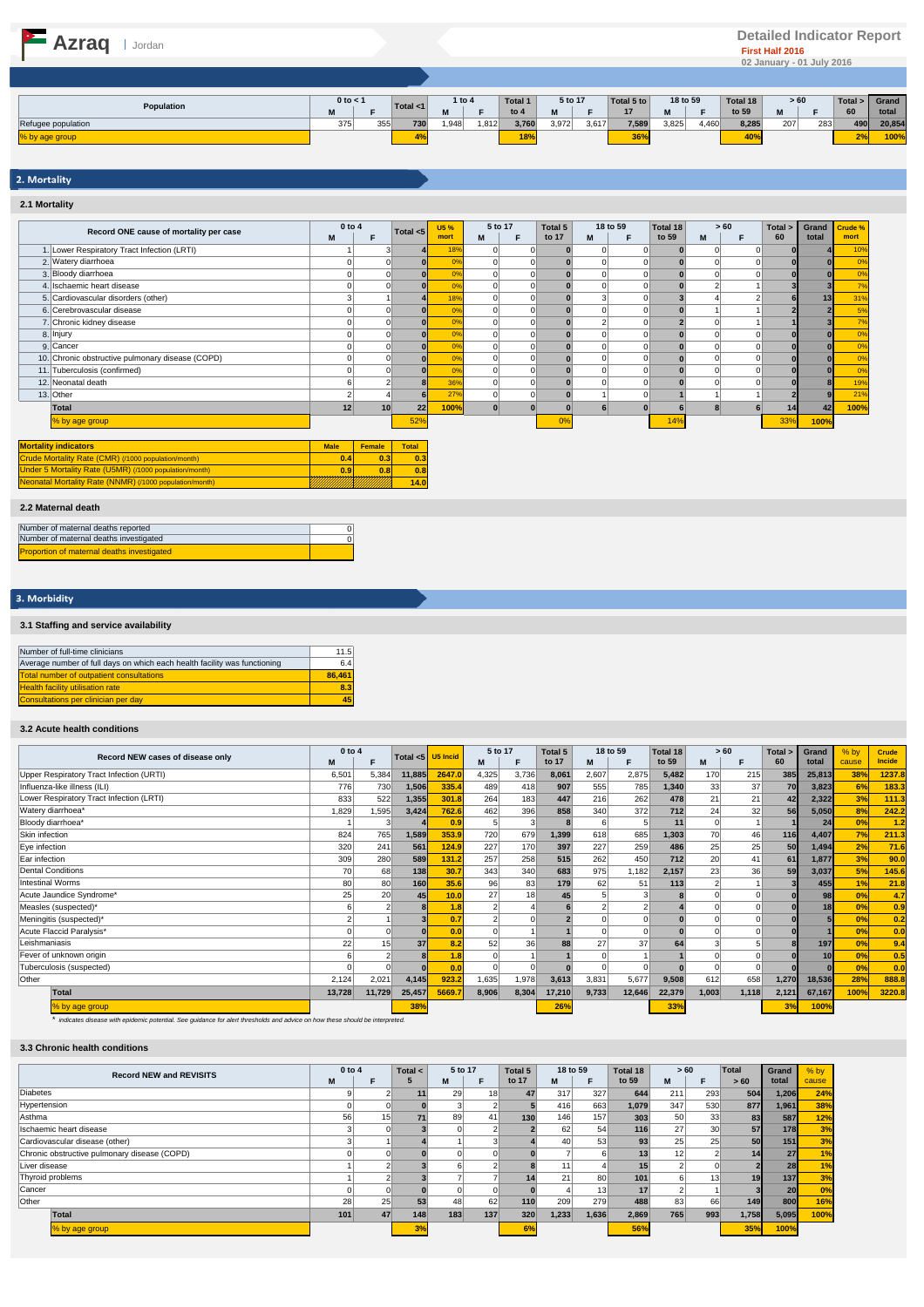# **Azraq I** Jordan **Proportion Construction Construction Construction Construction Construction Construction Construction Construction Construction Construction Construction Construction Construction Construction Construct**

|                    | $0$ to $<$ 1 |     |     | 1 to 4      |       | <b>Total 1</b> | 5 to 17 |       | Total 5 to | 18 to 59 |       | Total 18        | >60     |     | Total > 1 | Grand  |
|--------------------|--------------|-----|-----|-------------|-------|----------------|---------|-------|------------|----------|-------|-----------------|---------|-----|-----------|--------|
| Population         |              |     |     | Total $<$ 1 |       | to $4$         | w       |       | 17         |          |       | to 59           | <br>IVI |     | 60        | total  |
| Refugee population | 375<br>ن رو  | 355 | 730 | 1,948       | 1,812 | 3,760          | 3,972   | 3,617 | 7,589      | 3,825    | 1,460 | 8,285           | 207     | 283 | 490       | 20,854 |
| % by age group     |              |     |     |             |       | 18%            |         |       | 36%        |          |       | 40 <sup>°</sup> |         |     | $-70$     | 100%   |

# 2. Mortality **2.1 Mortality**

|                                                         | 0 to 4      |          |              | <b>U5%</b>     | 5 to 17 |          | Total 5  |   | 18 to 59 | Total 18 |   | > 60     | Total >  | Grand | Crude %        |
|---------------------------------------------------------|-------------|----------|--------------|----------------|---------|----------|----------|---|----------|----------|---|----------|----------|-------|----------------|
| Record ONE cause of mortality per case                  | M           | F        | Total $<$ 5  | mort           | M       | F        | to 17    | M | F        | to 59    | M | F        | 60       | total | mort           |
| 1. Lower Respiratory Tract Infection (LRTI)             |             |          |              | 18%            |         |          | $\Omega$ |   |          |          |   |          |          |       | 10%            |
| 2. Watery diarrhoea                                     |             | $\Omega$ | $\Omega$     | 0 <sup>9</sup> |         | $\Omega$ | $\Omega$ |   |          |          |   |          | $\Omega$ |       | 0 <sup>9</sup> |
| 3. Bloody diarrhoea                                     |             |          |              | 0%             |         | $\Omega$ |          |   |          |          |   |          |          |       | 0%             |
| 4. Ischaemic heart disease                              |             |          |              | 0%             |         |          |          |   |          |          |   |          |          |       | 7%             |
| 5. Cardiovascular disorders (other)                     |             |          |              | 18%            |         |          |          | з |          |          |   |          |          | 13    | 319            |
| 6. Cerebrovascular disease                              |             |          |              | 0 <sup>9</sup> |         | 0        |          |   |          |          |   |          |          |       | 5%             |
| 7. Chronic kidney disease                               |             |          |              | 0%             |         |          |          |   |          |          |   |          |          |       | 7%             |
| 8. Injury                                               |             |          |              | 0%             |         | $\Omega$ |          |   |          |          |   | $\Omega$ |          |       | 0%             |
| 9. Cancer                                               |             |          |              | 0%             |         | $\Omega$ |          |   |          |          |   |          |          |       | 0%             |
| 10. Chronic obstructive pulmonary disease (COPD)        |             |          |              | 0%             |         |          |          |   |          |          |   |          |          |       | 0%             |
| 11. Tuberculosis (confirmed)                            |             |          | $\Omega$     | 0%             |         | $\Omega$ | $\Omega$ |   |          |          |   |          | $\Omega$ |       | 0%             |
| 12. Neonatal death                                      |             |          |              | 36%            |         | 0        |          |   |          |          |   | $\Omega$ |          |       | 19%            |
| 13. Other                                               |             |          | ĥ            | 27%            |         | $\Omega$ |          |   |          |          |   |          |          |       | 219            |
| Total                                                   | 12          | 10       | 22           | 100%           |         |          |          |   |          |          | ឧ |          | 14       | 42    | 100%           |
| % by age group                                          |             |          | 52%          |                |         |          | 0%       |   |          | 14%      |   |          | 33%      | 100%  |                |
|                                                         |             |          |              |                |         |          |          |   |          |          |   |          |          |       |                |
| <b>Mortality indicators</b>                             | <b>Male</b> | Female   | <b>Total</b> |                |         |          |          |   |          |          |   |          |          |       |                |
| Crude Mortality Rate (CMR) (/1000 population/month)     | 0.4         | 0.3      | 0.3          |                |         |          |          |   |          |          |   |          |          |       |                |
| Under 5 Mortality Rate (U5MR) (/1000 population/month)  | 0.9         | 0.8      | 0.8          |                |         |          |          |   |          |          |   |          |          |       |                |
| Neonatal Mortality Rate (NNMR) (/1000 population/month) |             |          | 14.0         |                |         |          |          |   |          |          |   |          |          |       |                |

## **2.2 Maternal death**

| Number of maternal deaths reported                |  |
|---------------------------------------------------|--|
| Number of maternal deaths investigated            |  |
| <b>Proportion of maternal deaths investigated</b> |  |

# 3. Morbidity

# **3.1 Staffing and service availability**

| Number of full-time clinicians                                            | 11.5   |
|---------------------------------------------------------------------------|--------|
| Average number of full days on which each health facility was functioning | 6.4    |
| <b>Total number of outpatient consultations</b>                           | 86.461 |
| <b>Health facility utilisation rate</b>                                   | 8.3    |
| Consultations per clinician per day                                       | 45     |

### **3.2 Acute health conditions**

|                          |                                          |        | $0$ to 4<br>Total $<$ 5 |        | U5 Incid | 5 to 17         |       | Total 5 | 18 to 59 |        | Total 18 |       | >60   | Total > | Grand          | $%$ by         | Crude         |
|--------------------------|------------------------------------------|--------|-------------------------|--------|----------|-----------------|-------|---------|----------|--------|----------|-------|-------|---------|----------------|----------------|---------------|
|                          | Record NEW cases of disease only         | M      |                         |        |          | M               | F     | to 17   | M        | F      | to 59    | M     | F     | 60      | total          | cause          | <b>Incide</b> |
|                          | Upper Respiratory Tract Infection (URTI) | 6,501  | 5,384                   | 11,885 | 2647.0   | 4,325           | 3,736 | 8,061   | 2,607    | 2,875  | 5,482    | 170   | 215   | 385     | 25,813         | 38%            | 1237.8        |
|                          | Influenza-like illness (ILI)             | 776    | 730                     | 1,506  | 335.4    | 489             | 418   | 907     | 555      | 785    | 1,340    | 33    | 37    | 70      | 3,823          | 6%             | 183.3         |
|                          | Lower Respiratory Tract Infection (LRTI) | 833    | 522                     | 1,355  | 301.8    | 264             | 183   | 447     | 216      | 262    | 478      | 21    | 21    | 42      | 2,322          | 3%             | 111.3         |
| Watery diarrhoea*        |                                          | 1,829  | 1,595                   | 3,424  | 762.6    | 462             | 396   | 858     | 340      | 372    | 712      | 24    | 32    | 56      | 5,050          | 8%             | 242.2         |
| Bloody diarrhoea*        |                                          |        |                         |        | 0.9      |                 |       |         |          |        | 11       |       |       |         | 2 <sup>l</sup> | 0%             | 1.2           |
| Skin infection           |                                          | 824    | 765                     | 1,589  | 353.9    | 720             | 679   | 1,399   | 618      | 685    | 1,303    | 70    | 46    | 116     | 4,407          | 7%             | 211.3         |
| Eye infection            |                                          | 320    | 241                     | 561    | 124.9    | 227             | 170   | 397     | 227      | 259    | 486      | 25    | 25    | 50      | 1,494          | 2%             | 71.6          |
| Ear infection            |                                          | 309    | 280                     | 589    | 131.2    | 257             | 258   | 515     | 262      | 450    | 712      | 20    | 41    | 61      | 1,877          | 3%             | 90.0          |
| <b>Dental Conditions</b> |                                          | 70     | 68                      | 138    | 30.7     | 343             | 340   | 683     | 975      | 1,182  | 2,157    | 23    | 36    | 59      | 3,037          | 5%             | 145.6         |
| <b>Intestinal Worms</b>  |                                          | 80     | 80                      | 160    | 35.6     | 96 <sub>1</sub> | 83    | 179     | 62       | 51     | 113      |       |       |         | 455            | 1%             | 21.8          |
|                          | Acute Jaundice Syndrome*                 | 25     | 20                      | 45     | 10.0     | 27              | 18    | 45      |          |        |          |       |       |         | 98             | 0%             | 4.7           |
| Measles (suspected)*     |                                          |        |                         | 8      | 1.8      |                 |       |         |          |        |          |       |       |         | 18             | 0%             | 0.9           |
|                          | Meningitis (suspected)*                  |        |                         |        | 0.7      |                 |       |         |          |        |          |       |       |         |                | 0 <sup>9</sup> | 0.2           |
|                          | Acute Flaccid Paralysis*                 |        |                         |        | 0.0      | $\Omega$        |       |         |          |        |          |       |       |         |                | 0%             | 0.0           |
| Leishmaniasis            |                                          | 22     | 15                      | 37     | 8.2      | 52              | 36    | 88      | 27       | 37     | 64       |       |       |         | 197            | 0%             | 9.4           |
|                          | Fever of unknown origin                  |        |                         |        | 1.8      | $\Omega$        |       |         |          |        |          |       |       |         |                | 0%             | 0.5           |
|                          | Tuberculosis (suspected)                 |        |                         |        | 0.0      | $\Omega$        |       |         |          |        |          |       |       |         |                | 0%             | 0.0           |
| Other                    |                                          | 2,124  | 2,021                   | 4,145  | 923.2    | 1,635           | 1,978 | 3,613   | 3,831    | 5,677  | 9,508    | 612   | 658   | 1,270   | 18,536         | 28%            | 888.8         |
|                          | <b>Total</b>                             | 13,728 | 11,729                  | 25,457 | 5669.7   | 8,906           | 8,304 | 17,210  | 9,733    | 12,646 | 22,379   | 1,003 | 1,118 | 2,121   | 67,167         | 100%           | 3220.8        |
|                          | % by age group                           |        |                         | 38%    |          |                 |       | 26%     |          |        | 33%      |       |       | 3%      | 100%           |                |               |

*\* indicates disease with epidemic potential. See guidance for alert thresholds and advice on how these should be interpreted.*

### **3.3 Chronic health conditions**

| <b>Record NEW and REVISITS</b>               | $0$ to 4 |    | Total $\leq$ | 5 to 17 |     | Total 5 | 18 to 59        |       | Total 18 | > 60            |                 | Total           | Grand           | $%$ by |
|----------------------------------------------|----------|----|--------------|---------|-----|---------|-----------------|-------|----------|-----------------|-----------------|-----------------|-----------------|--------|
|                                              | M        | F  |              | M       | Е   | to 17   | M               | F     | to 59    | M               | Е               | >60             | total           | cause  |
| Diabetes                                     |          |    |              | 29      | 18  | 47      | 317             | 327   | 644      | 211             | 293             | 504             | 1,206           | 24%    |
| Hypertension                                 |          |    |              |         |     |         | 416             | 663   | 1,079    | 347             | 530             | 877             | 1,961           | 38%    |
| Asthma                                       | 56       | 15 |              | 89      | 41  | 130     | 146             | 157   | 303      | 50              | 33              | 83              | 587             | 12%    |
| Ischaemic heart disease                      |          |    |              |         |     |         | 62              | 54    | 116      | 27              | 30 <sup>1</sup> | 57              | 178             | 3%     |
| Cardiovascular disease (other)               |          |    |              |         |     |         | 40 <sup>1</sup> | 53    | 93       | 25              | 25              | 50              | 151             | 3%     |
| Chronic obstructive pulmonary disease (COPD) |          |    |              |         |     |         |                 |       | 13       | 12 <sub>1</sub> |                 | 14              | 27              | 1%     |
| Liver disease                                |          |    |              |         |     |         | 11              |       | 15       |                 |                 |                 | 28              | 1%     |
| Thyroid problems                             |          |    |              |         |     |         | 21              | 80    | 101      | 6               | 13              | 19 <sub>1</sub> | 137             | 3%     |
| Cancer                                       |          |    |              |         |     |         |                 | 13    | 17       |                 |                 |                 | 20 <sup>1</sup> | 0%     |
| Other                                        | 28       | 25 | 53           | 48      | 62  | 110     | 209             | 279   | 488      | 83              | 66              | 149             | 800             | 16%    |
| Total                                        | 101      | 47 | 148          | 183     | 137 | 320     | 1,233           | 1.636 | 2,869    | 765             | 993             | 1.758           | 5,095           | 100%   |
| % by age group                               |          |    | 3%           |         |     | 6%      |                 |       | 56%      |                 |                 | 35%             | 100%            |        |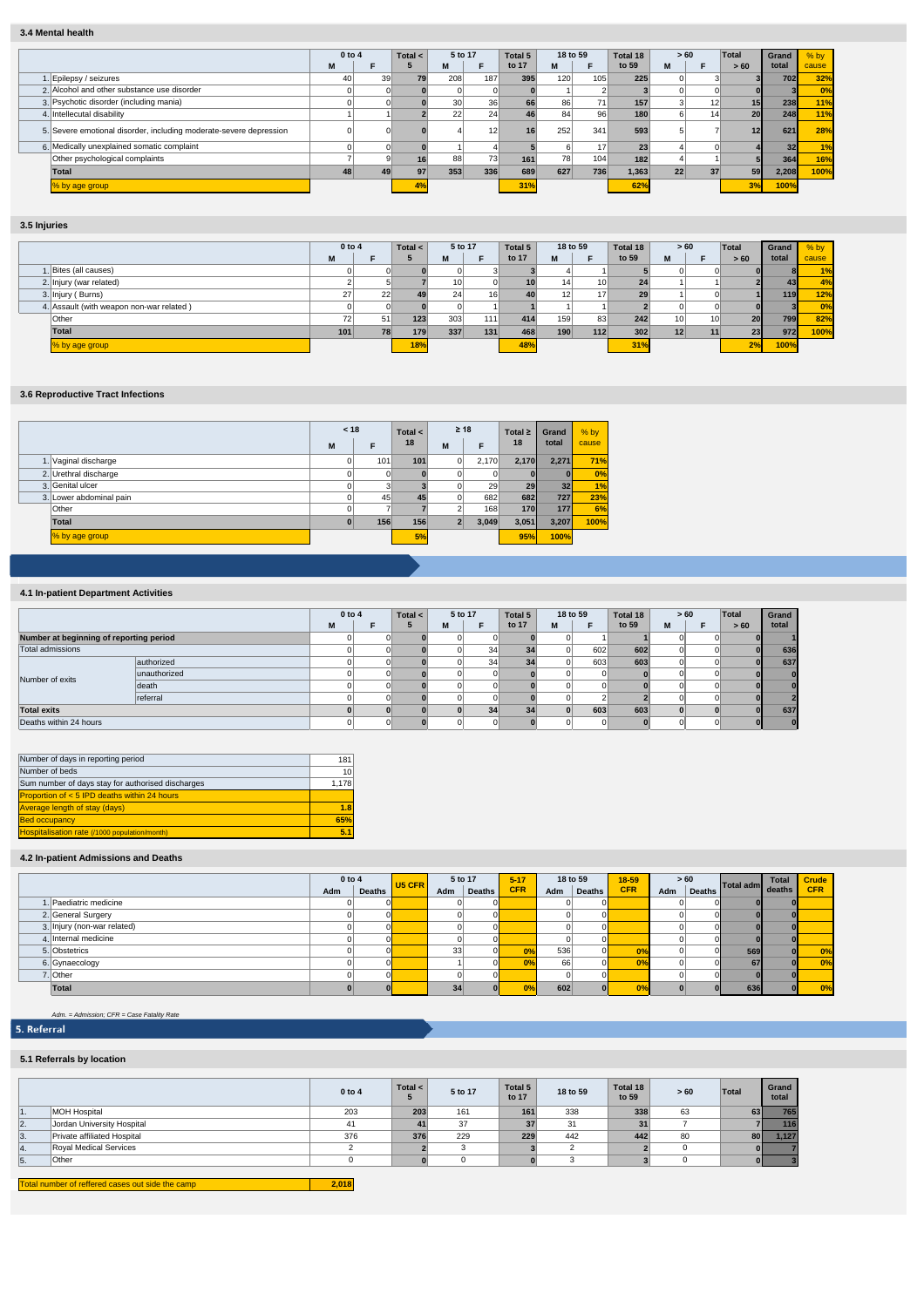## **3.4 Mental health**

|                                                                    | $0$ to 4 |    | Total $\leq$ | 5 to 17         |     | Total 5 | 18 to 59 |     | Total 18 | >60 |    | Total           | Grand           | $%$ by |
|--------------------------------------------------------------------|----------|----|--------------|-----------------|-----|---------|----------|-----|----------|-----|----|-----------------|-----------------|--------|
|                                                                    | M        | F  |              | M               |     | to 17   | M        | F.  | to 59    | M   | F  | >60             | total           | cause  |
| . Epilepsy / seizures                                              | 40       | 39 | 79           | 208             | 187 | 395     | 120      | 105 | 225      |     |    |                 | 702             | 32%    |
| 2. Alcohol and other substance use disorder                        |          |    |              |                 |     |         |          |     |          |     |    |                 |                 | 0%     |
| 3. Psychotic disorder (including mania)                            |          |    |              | 30 <sup>1</sup> | 36  | 66      | 86       | 71  | 157      |     | 12 | 15 <sup>1</sup> | 238             | 11%    |
| Intellecutal disability                                            |          |    |              | 22              | 24  | 46      | 84       | 96  | 180      |     | 14 | 20 <sup>1</sup> | 248             | 11%    |
| 5. Severe emotional disorder, including moderate-severe depression |          |    |              |                 | 12  | 16      | 252      | 341 | 593      |     |    | 12              | 621             | 28%    |
| 6. Medically unexplained somatic complaint                         |          |    |              |                 |     |         |          | 17  | 23       |     |    |                 | 32 <sub>1</sub> | $\P\%$ |
| Other psychological complaints                                     |          |    | 16           | 88              | 73  | 161     | 78       | 104 | 182      |     |    |                 | 364             | 16%    |
| Total                                                              | 48       | 49 | 97           | 353             | 336 | 689     | 627      | 736 | 1,363    | 22  | 37 | 59              | 2,208           | 100%   |
| % by age group                                                     |          |    | 4%           |                 |     | 31%     |          |     | 62%      |     |    | 3%              | 100%            |        |

# **3.5 Injuries**

|                                          | $0$ to 4 |     | Total $\leq$ |                 | 5 to 17<br>Total 5 |       | 18 to 59        |                 | Total 18 |                 | >60 | Total           | Grand | $%$ by |
|------------------------------------------|----------|-----|--------------|-----------------|--------------------|-------|-----------------|-----------------|----------|-----------------|-----|-----------------|-------|--------|
|                                          | M        |     |              |                 |                    | to 17 | М               |                 | to 59    | M               |     | > 60            | total | cause  |
| 1. Bites (all causes)                    |          |     |              |                 |                    |       |                 |                 |          |                 |     |                 |       | 1%     |
| 2. Injury (war related)                  |          |     |              | 10 <sup>1</sup> |                    | 10    | 14 <sub>1</sub> | 10 <sup>1</sup> | 24       |                 |     |                 | 43    | 4%     |
| 3. Injury (Burns)                        | 27       | 221 | 49           | 24              | 16                 | 40    | 12 <sup>1</sup> | 17              | 29       |                 |     |                 | 119   | 12%    |
| 4. Assault (with weapon non-war related) |          |     |              |                 |                    |       |                 |                 |          |                 |     |                 |       | 0%     |
| Other                                    | 72       | 51  | 123          | 303             | 111                | 414   | 159             | 83              | 242      | 10              | 10  | 20 <sub>1</sub> | 799   | 82%    |
| <b>Total</b>                             | 101      |     | 179          | 337             | 131                | 468   | 190             | 112             | 302      | 12 <sub>1</sub> |     | 23              | 972   | 100%   |
| % by age group                           |          |     | 18%          |                 |                    | 48%   |                 |                 | 31%      |                 |     | 2%              | 100%  |        |

## **3.6 Reproductive Tract Infections**

|                         | < 18     |     | Total $\leq$ | $\geq 18$      |       | Total $\geq$ | Grand           | $%$ by |
|-------------------------|----------|-----|--------------|----------------|-------|--------------|-----------------|--------|
|                         | M        | F   | 18           | M              | F     | 18           | total           | cause  |
| 1. Vaginal discharge    | 0        | 101 | 101          | 0              | 2.170 | 2.170        | 2.271           | 71%    |
| 2. Urethral discharge   | 0        | 0   |              | 0              | 0     | $\Omega$     | Ш               | 0%     |
| 3. Genital ulcer        | 0        | 3   |              | $\Omega$       | 29    | 29           | 32 <sub>1</sub> | 1%     |
| 3. Lower abdominal pain | $\Omega$ | 45  | 45           | 0              | 682   | 682          | <b>727</b>      | 23%    |
| Other                   | 0        |     |              | $\sim$         | 168   | 170          | 177             | 6%     |
| <b>Total</b>            | $\bf{0}$ | 156 | 156          | $\overline{2}$ | 3,049 | 3,051        | 3,207           | 100%   |
| % by age group          |          |     | 5%           |                |       | 95%          | 100%            |        |

### **4.1 In-patient Department Activities**

|                                         |              | 0 to 4 |    | 5 to 17<br>Total $\lt$ |   | Total 5 | 18 to 59 |   | Total 18 |       | >60 | Total | Grand |              |
|-----------------------------------------|--------------|--------|----|------------------------|---|---------|----------|---|----------|-------|-----|-------|-------|--------------|
|                                         |              | M      |    |                        | М | Е       | to 17    | M |          | to 59 | M   |       | >60   | total        |
| Number at beginning of reporting period |              |        |    |                        |   |         |          |   |          |       |     |       |       |              |
| Total admissions                        |              |        |    |                        |   | 34      | 34       |   | 602      | 602   | o   |       |       | 636          |
|                                         | authorized   |        |    |                        |   | 34      | 34       |   | 603      | 603   | n   |       |       | 637          |
| Number of exits                         | unauthorized |        |    |                        |   |         |          |   |          |       |     |       |       | $\Omega$     |
|                                         | death        |        |    |                        |   |         |          |   |          |       |     |       |       | $\mathbf{0}$ |
|                                         | referral     |        |    |                        |   |         |          |   |          |       |     |       |       |              |
| <b>Total exits</b>                      |              |        |    |                        |   | 34      | 34       |   | 603      | 603   |     |       |       | 637          |
| Deaths within 24 hours                  |              |        | ΩI |                        |   |         |          |   |          |       |     |       |       | $\bf{0}$     |

| Number of days in reporting period                | 181   |
|---------------------------------------------------|-------|
| Number of beds                                    | 10    |
| Sum number of days stay for authorised discharges | 1.178 |
| Proportion of $< 5$ IPD deaths within 24 hours    |       |
| <b>Average length of stay (days)</b>              | 1.8   |
| <b>Bed occupancy</b>                              | 65%   |
| Hospitalisation rate (/1000 population/month)     | 5.1   |

## **4.2 In-patient Admissions and Deaths**

|                             | $0$ to $4$ |               | U <sub>5</sub> CFR | 5 to 17 |               | $5 - 17$   |     | 18 to 59      | $18 - 59$  |     | >60       |                  | <b>Total</b> | <b>Crude</b> |
|-----------------------------|------------|---------------|--------------------|---------|---------------|------------|-----|---------------|------------|-----|-----------|------------------|--------------|--------------|
|                             | Adm        | <b>Deaths</b> |                    | Adm     | <b>Deaths</b> | <b>CFR</b> | Adm | <b>Deaths</b> | <b>CFR</b> | Adm | Deaths I. | Total adm deaths |              | <b>CFR</b>   |
| Paediatric medicine         |            |               |                    |         |               |            |     |               |            |     |           |                  |              |              |
| 2. General Surgery          |            |               |                    |         |               |            |     |               |            |     |           | ΩI               |              |              |
| 3. Injury (non-war related) |            |               |                    |         |               |            |     |               |            |     |           |                  |              |              |
| 4. Internal medicine        |            |               |                    |         |               |            |     |               |            |     |           |                  |              |              |
| 5. Obstetrics               |            |               |                    | 33      |               | 0%         | 536 |               | 0%         |     |           | 569              |              | 0%           |
| 6. Gynaecology              |            |               |                    |         |               | 0%         | 66  |               | 0%         |     |           | 67               |              | 0%           |
| 7. Other                    |            |               |                    |         |               |            |     |               |            |     |           |                  |              |              |
| Total                       |            |               |                    | 34      |               | 0%         | 602 |               | 0%         |     |           | 636              |              | 0%           |

# *Adm. = Admission; CFR = Case Fatality Rate*

### **5.1 Referrals by location**

|    |                             | $0$ to $4$ | Total $\leq$ | 5 to 17 | Total 5<br>to 17 | 18 to 59 | Total 18<br>to 59 | > 60 | Total     | Grand<br>total |
|----|-----------------------------|------------|--------------|---------|------------------|----------|-------------------|------|-----------|----------------|
| .  | <b>MOH Hospital</b>         | 203        | 203          | 161     | 161              | 338      | 338               | 63   | 63        | 765            |
| 2. | Jordan University Hospital  | 41         | 41           | 37      |                  | 31       | 31                |      |           | 116            |
| 3. | Private affiliated Hospital | 376        | 376          | 229     | 229              | 442      | 442               | 80   | <b>80</b> | 1.127          |
| 4. | Royal Medical Services      |            |              |         |                  |          |                   |      |           |                |
| 5. | Other                       |            |              |         |                  |          |                   |      |           |                |
|    |                             |            |              |         |                  |          |                   |      |           |                |

Total number of reffered cas **2,018** Π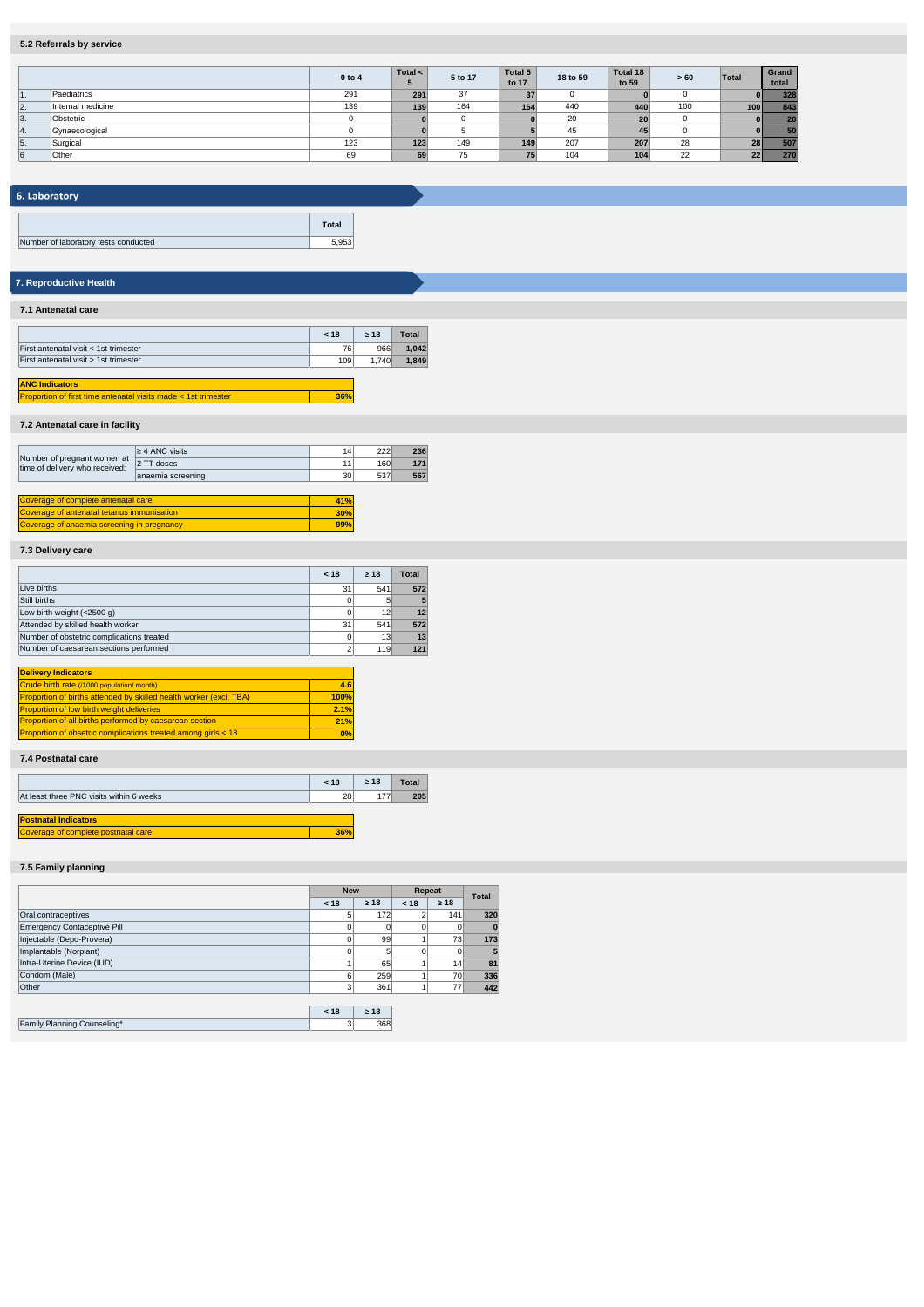## **5.2 Referrals by service**

|    |                   | $0$ to $4$ | Total $\lt$ | 5 to 17 | Total 5<br>to 17 | 18 to 59 | Total 18<br>to 59 | > 60 | Total      | Grand<br>total |
|----|-------------------|------------|-------------|---------|------------------|----------|-------------------|------|------------|----------------|
| 1. | Paediatrics       | 291        | 291         | 37      | 37               |          |                   |      |            | 328            |
| 2. | Internal medicine | 139        | 139         | 164     | 164              | 440      | 440               | 100  | <b>100</b> | 843            |
| 3. | Obstetric         |            |             |         |                  | 20       | 20                |      |            | 20             |
| 4. | Gynaecological    |            |             |         |                  | 45       | 45                |      |            | 50             |
| 5. | Surgical          | 123        | 123         | 149     | 149              | 207      | 207               | 28   | 28         | 507            |
| 6  | Other             | 69         | 69          | 75      | 75 <sub>1</sub>  | 104      | 104               | 22   | 22         | 270            |

# 6. Laboratory

|                                      | <b>Total</b> |
|--------------------------------------|--------------|
| Number of laboratory tests conducted |              |

# **7. Reproductive Health**

### **7.1 Antenatal care**

|                                                                | < 18 | >18   | <b>Total</b> |
|----------------------------------------------------------------|------|-------|--------------|
| First antenatal visit < 1st trimester                          | 76   | 966   | 1.042        |
| First antenatal visit > 1st trimester                          | 109  | 1.740 | 1.849        |
|                                                                |      |       |              |
| <b>ANC Indicators</b>                                          |      |       |              |
| Proportion of first time antenatal visits made < 1st trimester | 36%  |       |              |

# **7.2 Antenatal care in facility**

|                                                               | $\geq$ 4 ANC visits | 14 <sub>1</sub> | 222 | 236 |
|---------------------------------------------------------------|---------------------|-----------------|-----|-----|
| Number of pregnant women at<br>time of delivery who received: | 2 TT doses          | 11              | 160 | 171 |
|                                                               | anaemia screening   | 30 <sup>1</sup> | 537 | 567 |
|                                                               |                     |                 |     |     |
| Coverage of complete antenatal care                           |                     |                 |     |     |

**30% 99%**

**4.6 100% 2.1% 21% 0%**

overage of anaemia screening in pregnancy Coverage of antenatal tetanus immunisation

## **7.3 Delivery care**

|                                           | < 18 | >18 | <b>Total</b> |
|-------------------------------------------|------|-----|--------------|
| Live births                               | 31   | 541 | 572          |
| Still births                              |      | 5   | 5            |
| Low birth weight (<2500 g)                |      | 12  | 12           |
| Attended by skilled health worker         | 31   | 541 | 572          |
| Number of obstetric complications treated |      | 13  | 13           |
| Number of caesarean sections performed    |      | 119 | 121          |

| <b>Delivery Indicators</b>                                         |  |
|--------------------------------------------------------------------|--|
| Crude birth rate (/1000 population/ month)                         |  |
| Proportion of births attended by skilled health worker (excl. TBA) |  |
| <b>Proportion of low birth weight deliveries</b>                   |  |
| <b>Proportion of all births performed by caesarean section</b>     |  |
| Proportion of obsetric complications treated among girls < 18      |  |

### **7.4 Postnatal care**

|                                          | < 18 | >18 | Total |
|------------------------------------------|------|-----|-------|
| At least three PNC visits within 6 weeks | 28   | 177 | 205   |
|                                          |      |     |       |
| <b>Postnatal Indicators</b>              |      |     |       |
| Coverage of complete postnatal care      |      |     |       |

### **7.5 Family planning**

|                                    | <b>New</b>     |                | Repeat   | <b>Total</b> |          |
|------------------------------------|----------------|----------------|----------|--------------|----------|
|                                    | < 18           | $\geq 18$      | < 18     | $\geq 18$    |          |
| Oral contraceptives                | 5 <sub>1</sub> | 172            |          | 141          | 320      |
| <b>Emergency Contaceptive Pill</b> | $\Omega$       |                | $\Omega$ | $\Omega$     | $\bf{0}$ |
| Injectable (Depo-Provera)          | $\Omega$       | 99             |          | 73           | 173      |
| Implantable (Norplant)             | $\Omega$       | 5 <sup>1</sup> | $\Omega$ | $\Omega$     | 5        |
| Intra-Uterine Device (IUD)         |                | 65             |          | 14           | 81       |
| Condom (Male)                      | 6              | 259            |          | 70           | 336      |
| Other                              | 3              | 361            |          | 77           | 442      |
|                                    |                |                |          |              |          |
|                                    | < 18           | $\geq 18$      |          |              |          |
| Family Planning Counseling*        | 3              | 368            |          |              |          |